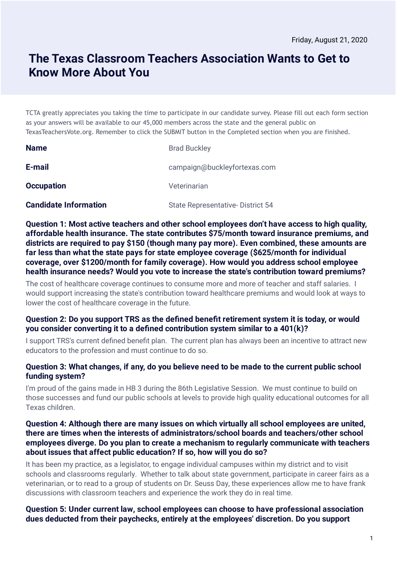# **The Texas Classroom Teachers Association Wants to Get to Know More About You**

TCTA greatly appreciates you taking the time to participate in our candidate survey. Please fill out each form section as your answers will be available to our 45,000 members across the state and the general public on TexasTeachersVote.org. Remember to click the SUBMIT button in the Completed section when you are finished.

| <b>Name</b>                  | <b>Brad Buckley</b>                     |
|------------------------------|-----------------------------------------|
| E-mail                       | campaign@buckleyfortexas.com            |
| <b>Occupation</b>            | Veterinarian                            |
| <b>Candidate Information</b> | <b>State Representative-District 54</b> |

**Question 1: Most active teachers and other school employees don't have access to high quality, affordable health insurance. The state contributes \$75/month toward insurance premiums, and districts are required to pay \$150 (though many pay more). Even combined, these amounts are far less than what the state pays for state employee coverage (\$625/month for individual coverage, over \$1200/month for family coverage). How would you address school employee health insurance needs? Would you vote to increase the state's contribution toward premiums?**

The cost of healthcare coverage continues to consume more and more of teacher and staff salaries. I would support increasing the state's contribution toward healthcare premiums and would look at ways to lower the cost of healthcare coverage in the future.

# **Question 2: Do you support TRS as the dened benet retirement system it is today, or would you consider converting it to a dened contribution system similar to a 401(k)?**

I support TRS's current defined benefit plan. The current plan has always been an incentive to attract new educators to the profession and must continue to do so.

# **Question 3: What changes, if any, do you believe need to be made to the current public school funding system?**

I'm proud of the gains made in HB 3 during the 86th Legislative Session. We must continue to build on those successes and fund our public schools at levels to provide high quality educational outcomes for all Texas children.

## **Question 4: Although there are many issues on which virtually all school employees are united, there are times when the interests of administrators/school boards and teachers/other school employees diverge. Do you plan to create a mechanism to regularly communicate with teachers about issues that affect public education? If so, how will you do so?**

It has been my practice, as a legislator, to engage individual campuses within my district and to visit schools and classrooms regularly. Whether to talk about state government, participate in career fairs as a veterinarian, or to read to a group of students on Dr. Seuss Day, these experiences allow me to have frank discussions with classroom teachers and experience the work they do in real time.

# **Question 5: Under current law, school employees can choose to have professional association dues deducted from their paychecks, entirely at the employees' discretion. Do you support**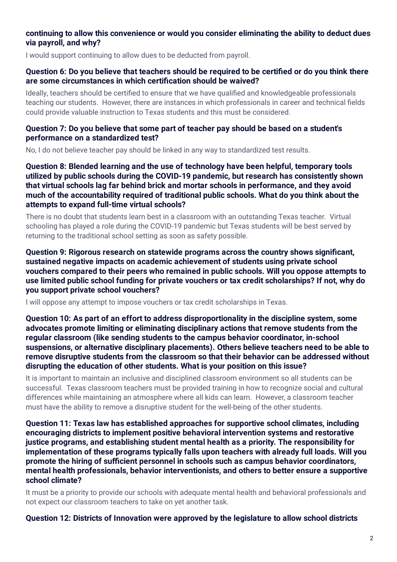# **continuing to allow this convenience or would you consider eliminating the ability to deduct dues via payroll, and why?**

I would support continuing to allow dues to be deducted from payroll.

#### **Question 6: Do you believe that teachers should be required to be certied or do you think there are some circumstances in which certication should be waived?**

Ideally, teachers should be certified to ensure that we have qualified and knowledgeable professionals teaching our students. However, there are instances in which professionals in career and technical fields could provide valuable instruction to Texas students and this must be considered.

#### **Question 7: Do you believe that some part of teacher pay should be based on a student's performance on a standardized test?**

No, I do not believe teacher pay should be linked in any way to standardized test results.

**Question 8: Blended learning and the use of technology have been helpful, temporary tools utilized by public schools during the COVID-19 pandemic, but research has consistently shown that virtual schools lag far behind brick and mortar schools in performance, and they avoid much of the accountability required of traditional public schools. What do you think about the attempts to expand full-time virtual schools?**

There is no doubt that students learn best in a classroom with an outstanding Texas teacher. Virtual schooling has played a role during the COVID-19 pandemic but Texas students will be best served by returning to the traditional school setting as soon as safety possible.

**Question 9: Rigorous research on statewide programs across the country shows signicant, sustained negative impacts on academic achievement of students using private school vouchers compared to their peers who remained in public schools. Will you oppose attempts to use limited public school funding for private vouchers or tax credit scholarships? If not, why do you support private school vouchers?**

I will oppose any attempt to impose vouchers or tax credit scholarships in Texas.

**Question 10: As part of an effort to address disproportionality in the discipline system, some advocates promote limiting or eliminating disciplinary actions that remove students from the regular classroom (like sending students to the campus behavior coordinator, in-school suspensions, or alternative disciplinary placements). Others believe teachers need to be able to remove disruptive students from the classroom so that their behavior can be addressed without disrupting the education of other students. What is your position on this issue?**

It is important to maintain an inclusive and disciplined classroom environment so all students can be successful. Texas classroom teachers must be provided training in how to recognize social and cultural differences while maintaining an atmosphere where all kids can learn. However, a classroom teacher must have the ability to remove a disruptive student for the well-being of the other students.

**Question 11: Texas law has established approaches for supportive school climates, including encouraging districts to implement positive behavioral intervention systems and restorative justice programs, and establishing student mental health as a priority. The responsibility for implementation of these programs typically falls upon teachers with already full loads. Will you promote the hiring of sucient personnel in schools such as campus behavior coordinators, mental health professionals, behavior interventionists, and others to better ensure a supportive school climate?**

It must be a priority to provide our schools with adequate mental health and behavioral professionals and not expect our classroom teachers to take on yet another task.

#### **Question 12: Districts of Innovation were approved by the legislature to allow school districts**